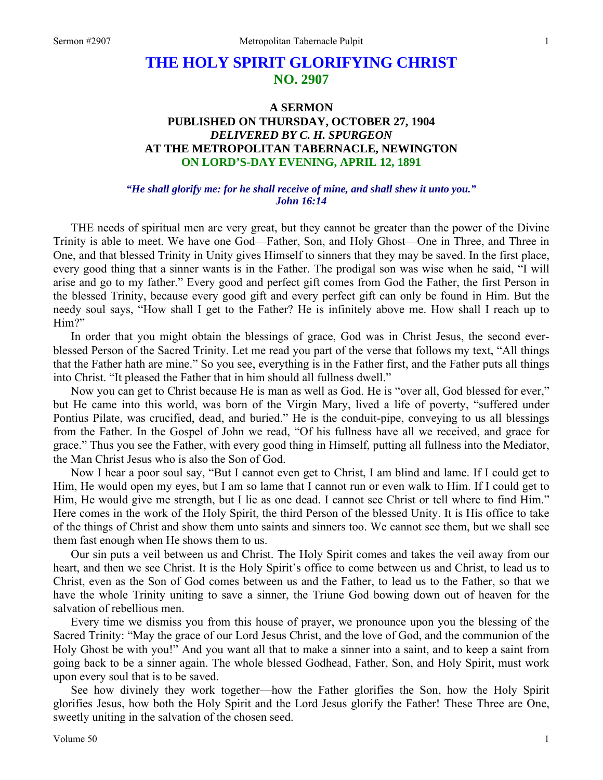# **THE HOLY SPIRIT GLORIFYING CHRIST NO. 2907**

# **A SERMON PUBLISHED ON THURSDAY, OCTOBER 27, 1904**  *DELIVERED BY C. H. SPURGEON*  **AT THE METROPOLITAN TABERNACLE, NEWINGTON ON LORD'S-DAY EVENING, APRIL 12, 1891**

#### *"He shall glorify me: for he shall receive of mine, and shall shew it unto you." John 16:14*

THE needs of spiritual men are very great, but they cannot be greater than the power of the Divine Trinity is able to meet. We have one God—Father, Son, and Holy Ghost—One in Three, and Three in One, and that blessed Trinity in Unity gives Himself to sinners that they may be saved. In the first place, every good thing that a sinner wants is in the Father. The prodigal son was wise when he said, "I will arise and go to my father." Every good and perfect gift comes from God the Father, the first Person in the blessed Trinity, because every good gift and every perfect gift can only be found in Him. But the needy soul says, "How shall I get to the Father? He is infinitely above me. How shall I reach up to Him?"

In order that you might obtain the blessings of grace, God was in Christ Jesus, the second everblessed Person of the Sacred Trinity. Let me read you part of the verse that follows my text, "All things that the Father hath are mine." So you see, everything is in the Father first, and the Father puts all things into Christ. "It pleased the Father that in him should all fullness dwell."

Now you can get to Christ because He is man as well as God. He is "over all, God blessed for ever," but He came into this world, was born of the Virgin Mary, lived a life of poverty, "suffered under Pontius Pilate, was crucified, dead, and buried." He is the conduit-pipe, conveying to us all blessings from the Father. In the Gospel of John we read, "Of his fullness have all we received, and grace for grace." Thus you see the Father, with every good thing in Himself, putting all fullness into the Mediator, the Man Christ Jesus who is also the Son of God.

Now I hear a poor soul say, "But I cannot even get to Christ, I am blind and lame. If I could get to Him, He would open my eyes, but I am so lame that I cannot run or even walk to Him. If I could get to Him, He would give me strength, but I lie as one dead. I cannot see Christ or tell where to find Him." Here comes in the work of the Holy Spirit, the third Person of the blessed Unity. It is His office to take of the things of Christ and show them unto saints and sinners too. We cannot see them, but we shall see them fast enough when He shows them to us.

Our sin puts a veil between us and Christ. The Holy Spirit comes and takes the veil away from our heart, and then we see Christ. It is the Holy Spirit's office to come between us and Christ, to lead us to Christ, even as the Son of God comes between us and the Father, to lead us to the Father, so that we have the whole Trinity uniting to save a sinner, the Triune God bowing down out of heaven for the salvation of rebellious men.

Every time we dismiss you from this house of prayer, we pronounce upon you the blessing of the Sacred Trinity: "May the grace of our Lord Jesus Christ, and the love of God, and the communion of the Holy Ghost be with you!" And you want all that to make a sinner into a saint, and to keep a saint from going back to be a sinner again. The whole blessed Godhead, Father, Son, and Holy Spirit, must work upon every soul that is to be saved.

See how divinely they work together—how the Father glorifies the Son, how the Holy Spirit glorifies Jesus, how both the Holy Spirit and the Lord Jesus glorify the Father! These Three are One, sweetly uniting in the salvation of the chosen seed.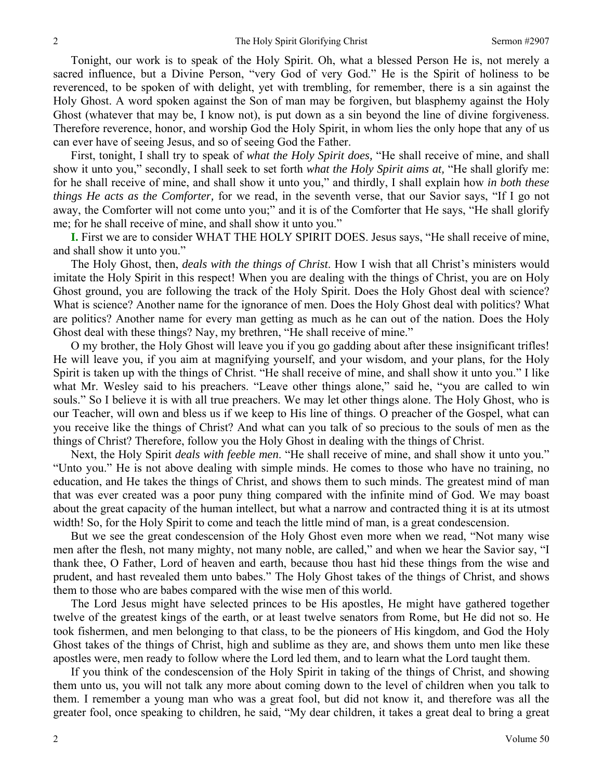Tonight, our work is to speak of the Holy Spirit. Oh, what a blessed Person He is, not merely a sacred influence, but a Divine Person, "very God of very God." He is the Spirit of holiness to be reverenced, to be spoken of with delight, yet with trembling, for remember, there is a sin against the Holy Ghost. A word spoken against the Son of man may be forgiven, but blasphemy against the Holy Ghost (whatever that may be, I know not), is put down as a sin beyond the line of divine forgiveness. Therefore reverence, honor, and worship God the Holy Spirit, in whom lies the only hope that any of us can ever have of seeing Jesus, and so of seeing God the Father.

First, tonight, I shall try to speak of *what the Holy Spirit does,* "He shall receive of mine, and shall show it unto you," secondly, I shall seek to set forth *what the Holy Spirit aims at,* "He shall glorify me: for he shall receive of mine, and shall show it unto you," and thirdly, I shall explain how *in both these things He acts as the Comforter,* for we read, in the seventh verse, that our Savior says, "If I go not away, the Comforter will not come unto you;" and it is of the Comforter that He says, "He shall glorify me; for he shall receive of mine, and shall show it unto you."

**I.** First we are to consider WHAT THE HOLY SPIRIT DOES. Jesus says, "He shall receive of mine, and shall show it unto you."

The Holy Ghost, then, *deals with the things of Christ*. How I wish that all Christ's ministers would imitate the Holy Spirit in this respect! When you are dealing with the things of Christ, you are on Holy Ghost ground, you are following the track of the Holy Spirit. Does the Holy Ghost deal with science? What is science? Another name for the ignorance of men. Does the Holy Ghost deal with politics? What are politics? Another name for every man getting as much as he can out of the nation. Does the Holy Ghost deal with these things? Nay, my brethren, "He shall receive of mine."

O my brother, the Holy Ghost will leave you if you go gadding about after these insignificant trifles! He will leave you, if you aim at magnifying yourself, and your wisdom, and your plans, for the Holy Spirit is taken up with the things of Christ. "He shall receive of mine, and shall show it unto you." I like what Mr. Wesley said to his preachers. "Leave other things alone," said he, "you are called to win souls." So I believe it is with all true preachers. We may let other things alone. The Holy Ghost, who is our Teacher, will own and bless us if we keep to His line of things. O preacher of the Gospel, what can you receive like the things of Christ? And what can you talk of so precious to the souls of men as the things of Christ? Therefore, follow you the Holy Ghost in dealing with the things of Christ.

Next, the Holy Spirit *deals with feeble men*. "He shall receive of mine, and shall show it unto you." "Unto you." He is not above dealing with simple minds. He comes to those who have no training, no education, and He takes the things of Christ, and shows them to such minds. The greatest mind of man that was ever created was a poor puny thing compared with the infinite mind of God. We may boast about the great capacity of the human intellect, but what a narrow and contracted thing it is at its utmost width! So, for the Holy Spirit to come and teach the little mind of man, is a great condescension.

But we see the great condescension of the Holy Ghost even more when we read, "Not many wise men after the flesh, not many mighty, not many noble, are called," and when we hear the Savior say, "I thank thee, O Father, Lord of heaven and earth, because thou hast hid these things from the wise and prudent, and hast revealed them unto babes." The Holy Ghost takes of the things of Christ, and shows them to those who are babes compared with the wise men of this world.

The Lord Jesus might have selected princes to be His apostles, He might have gathered together twelve of the greatest kings of the earth, or at least twelve senators from Rome, but He did not so. He took fishermen, and men belonging to that class, to be the pioneers of His kingdom, and God the Holy Ghost takes of the things of Christ, high and sublime as they are, and shows them unto men like these apostles were, men ready to follow where the Lord led them, and to learn what the Lord taught them.

If you think of the condescension of the Holy Spirit in taking of the things of Christ, and showing them unto us, you will not talk any more about coming down to the level of children when you talk to them. I remember a young man who was a great fool, but did not know it, and therefore was all the greater fool, once speaking to children, he said, "My dear children, it takes a great deal to bring a great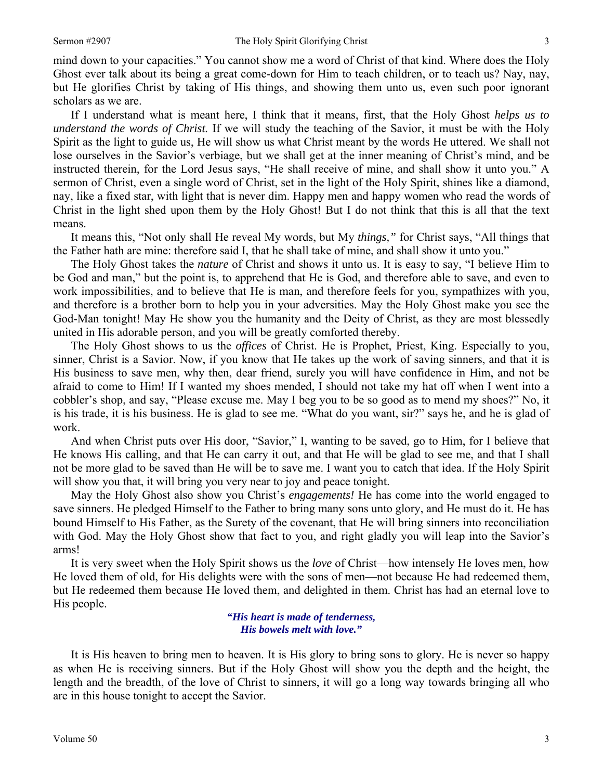mind down to your capacities." You cannot show me a word of Christ of that kind. Where does the Holy Ghost ever talk about its being a great come-down for Him to teach children, or to teach us? Nay, nay, but He glorifies Christ by taking of His things, and showing them unto us, even such poor ignorant scholars as we are.

If I understand what is meant here, I think that it means, first, that the Holy Ghost *helps us to understand the words of Christ.* If we will study the teaching of the Savior, it must be with the Holy Spirit as the light to guide us, He will show us what Christ meant by the words He uttered. We shall not lose ourselves in the Savior's verbiage, but we shall get at the inner meaning of Christ's mind, and be instructed therein, for the Lord Jesus says, "He shall receive of mine, and shall show it unto you." A sermon of Christ, even a single word of Christ, set in the light of the Holy Spirit, shines like a diamond, nay, like a fixed star, with light that is never dim. Happy men and happy women who read the words of Christ in the light shed upon them by the Holy Ghost! But I do not think that this is all that the text means.

It means this, "Not only shall He reveal My words, but My *things,"* for Christ says, "All things that the Father hath are mine: therefore said I, that he shall take of mine, and shall show it unto you."

The Holy Ghost takes the *nature* of Christ and shows it unto us. It is easy to say, "I believe Him to be God and man," but the point is, to apprehend that He is God, and therefore able to save, and even to work impossibilities, and to believe that He is man, and therefore feels for you, sympathizes with you, and therefore is a brother born to help you in your adversities. May the Holy Ghost make you see the God-Man tonight! May He show you the humanity and the Deity of Christ, as they are most blessedly united in His adorable person, and you will be greatly comforted thereby.

The Holy Ghost shows to us the *offices* of Christ. He is Prophet, Priest, King. Especially to you, sinner, Christ is a Savior. Now, if you know that He takes up the work of saving sinners, and that it is His business to save men, why then, dear friend, surely you will have confidence in Him, and not be afraid to come to Him! If I wanted my shoes mended, I should not take my hat off when I went into a cobbler's shop, and say, "Please excuse me. May I beg you to be so good as to mend my shoes?" No, it is his trade, it is his business. He is glad to see me. "What do you want, sir?" says he, and he is glad of work.

And when Christ puts over His door, "Savior," I, wanting to be saved, go to Him, for I believe that He knows His calling, and that He can carry it out, and that He will be glad to see me, and that I shall not be more glad to be saved than He will be to save me. I want you to catch that idea. If the Holy Spirit will show you that, it will bring you very near to joy and peace tonight.

May the Holy Ghost also show you Christ's *engagements!* He has come into the world engaged to save sinners. He pledged Himself to the Father to bring many sons unto glory, and He must do it. He has bound Himself to His Father, as the Surety of the covenant, that He will bring sinners into reconciliation with God. May the Holy Ghost show that fact to you, and right gladly you will leap into the Savior's arms!

It is very sweet when the Holy Spirit shows us the *love* of Christ—how intensely He loves men, how He loved them of old, for His delights were with the sons of men—not because He had redeemed them, but He redeemed them because He loved them, and delighted in them. Christ has had an eternal love to His people.

### *"His heart is made of tenderness, His bowels melt with love."*

It is His heaven to bring men to heaven. It is His glory to bring sons to glory. He is never so happy as when He is receiving sinners. But if the Holy Ghost will show you the depth and the height, the length and the breadth, of the love of Christ to sinners, it will go a long way towards bringing all who are in this house tonight to accept the Savior.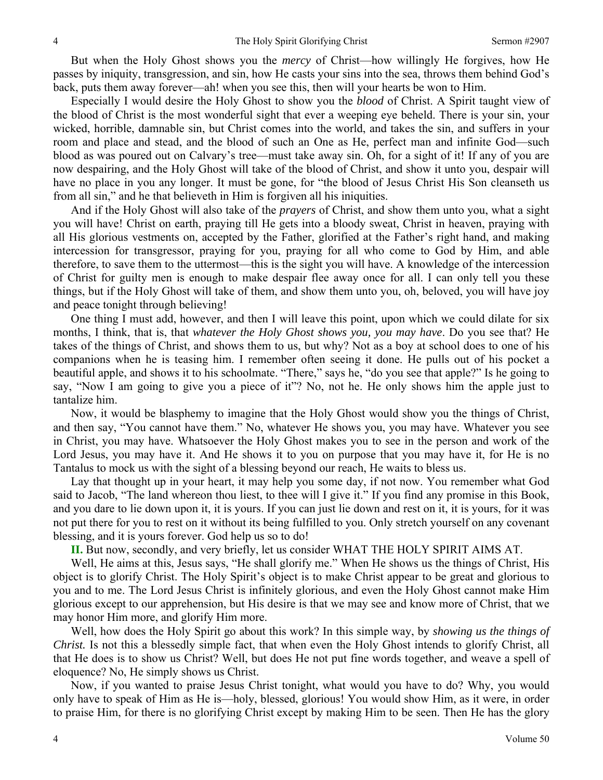But when the Holy Ghost shows you the *mercy* of Christ—how willingly He forgives, how He passes by iniquity, transgression, and sin, how He casts your sins into the sea, throws them behind God's back, puts them away forever—ah! when you see this, then will your hearts be won to Him.

Especially I would desire the Holy Ghost to show you the *blood* of Christ. A Spirit taught view of the blood of Christ is the most wonderful sight that ever a weeping eye beheld. There is your sin, your wicked, horrible, damnable sin, but Christ comes into the world, and takes the sin, and suffers in your room and place and stead, and the blood of such an One as He, perfect man and infinite God—such blood as was poured out on Calvary's tree—must take away sin. Oh, for a sight of it! If any of you are now despairing, and the Holy Ghost will take of the blood of Christ, and show it unto you, despair will have no place in you any longer. It must be gone, for "the blood of Jesus Christ His Son cleanseth us from all sin," and he that believeth in Him is forgiven all his iniquities.

And if the Holy Ghost will also take of the *prayers* of Christ, and show them unto you, what a sight you will have! Christ on earth, praying till He gets into a bloody sweat, Christ in heaven, praying with all His glorious vestments on, accepted by the Father, glorified at the Father's right hand, and making intercession for transgressor, praying for you, praying for all who come to God by Him, and able therefore, to save them to the uttermost—this is the sight you will have. A knowledge of the intercession of Christ for guilty men is enough to make despair flee away once for all. I can only tell you these things, but if the Holy Ghost will take of them, and show them unto you, oh, beloved, you will have joy and peace tonight through believing!

One thing I must add, however, and then I will leave this point, upon which we could dilate for six months, I think, that is, that *whatever the Holy Ghost shows you, you may have*. Do you see that? He takes of the things of Christ, and shows them to us, but why? Not as a boy at school does to one of his companions when he is teasing him. I remember often seeing it done. He pulls out of his pocket a beautiful apple, and shows it to his schoolmate. "There," says he, "do you see that apple?" Is he going to say, "Now I am going to give you a piece of it"? No, not he. He only shows him the apple just to tantalize him.

Now, it would be blasphemy to imagine that the Holy Ghost would show you the things of Christ, and then say, "You cannot have them." No, whatever He shows you, you may have. Whatever you see in Christ, you may have. Whatsoever the Holy Ghost makes you to see in the person and work of the Lord Jesus, you may have it. And He shows it to you on purpose that you may have it, for He is no Tantalus to mock us with the sight of a blessing beyond our reach, He waits to bless us.

Lay that thought up in your heart, it may help you some day, if not now. You remember what God said to Jacob, "The land whereon thou liest, to thee will I give it." If you find any promise in this Book, and you dare to lie down upon it, it is yours. If you can just lie down and rest on it, it is yours, for it was not put there for you to rest on it without its being fulfilled to you. Only stretch yourself on any covenant blessing, and it is yours forever. God help us so to do!

**II.** But now, secondly, and very briefly, let us consider WHAT THE HOLY SPIRIT AIMS AT.

Well, He aims at this, Jesus says, "He shall glorify me." When He shows us the things of Christ, His object is to glorify Christ. The Holy Spirit's object is to make Christ appear to be great and glorious to you and to me. The Lord Jesus Christ is infinitely glorious, and even the Holy Ghost cannot make Him glorious except to our apprehension, but His desire is that we may see and know more of Christ, that we may honor Him more, and glorify Him more.

Well, how does the Holy Spirit go about this work? In this simple way, by *showing us the things of Christ.* Is not this a blessedly simple fact, that when even the Holy Ghost intends to glorify Christ, all that He does is to show us Christ? Well, but does He not put fine words together, and weave a spell of eloquence? No, He simply shows us Christ.

Now, if you wanted to praise Jesus Christ tonight, what would you have to do? Why, you would only have to speak of Him as He is—holy, blessed, glorious! You would show Him, as it were, in order to praise Him, for there is no glorifying Christ except by making Him to be seen. Then He has the glory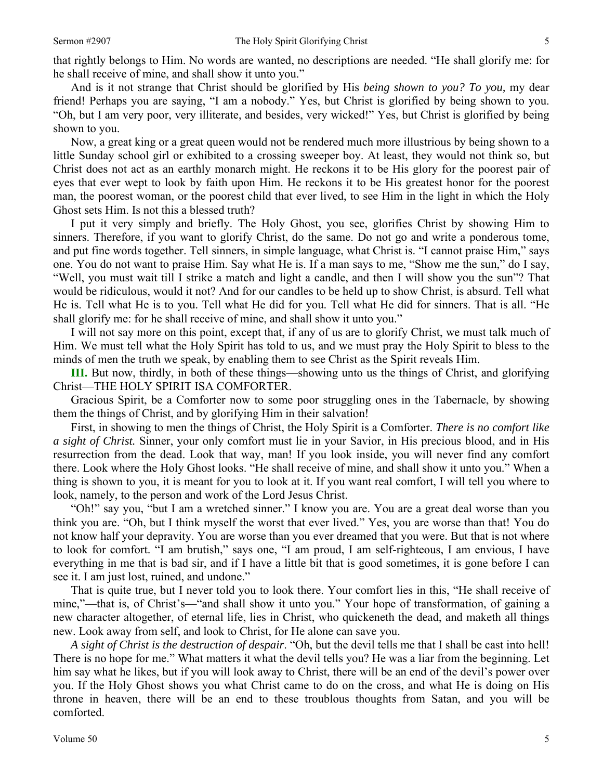that rightly belongs to Him. No words are wanted, no descriptions are needed. "He shall glorify me: for he shall receive of mine, and shall show it unto you."

And is it not strange that Christ should be glorified by His *being shown to you? To you,* my dear friend! Perhaps you are saying, "I am a nobody." Yes, but Christ is glorified by being shown to you. "Oh, but I am very poor, very illiterate, and besides, very wicked!" Yes, but Christ is glorified by being shown to you.

Now, a great king or a great queen would not be rendered much more illustrious by being shown to a little Sunday school girl or exhibited to a crossing sweeper boy. At least, they would not think so, but Christ does not act as an earthly monarch might. He reckons it to be His glory for the poorest pair of eyes that ever wept to look by faith upon Him. He reckons it to be His greatest honor for the poorest man, the poorest woman, or the poorest child that ever lived, to see Him in the light in which the Holy Ghost sets Him. Is not this a blessed truth?

I put it very simply and briefly. The Holy Ghost, you see, glorifies Christ by showing Him to sinners. Therefore, if you want to glorify Christ, do the same. Do not go and write a ponderous tome, and put fine words together. Tell sinners, in simple language, what Christ is. "I cannot praise Him," says one. You do not want to praise Him. Say what He is. If a man says to me, "Show me the sun," do I say, "Well, you must wait till I strike a match and light a candle, and then I will show you the sun"? That would be ridiculous, would it not? And for our candles to be held up to show Christ, is absurd. Tell what He is. Tell what He is to you. Tell what He did for you. Tell what He did for sinners. That is all. "He shall glorify me: for he shall receive of mine, and shall show it unto you."

I will not say more on this point, except that, if any of us are to glorify Christ, we must talk much of Him. We must tell what the Holy Spirit has told to us, and we must pray the Holy Spirit to bless to the minds of men the truth we speak, by enabling them to see Christ as the Spirit reveals Him.

**III.** But now, thirdly, in both of these things—showing unto us the things of Christ, and glorifying Christ—THE HOLY SPIRIT ISA COMFORTER.

Gracious Spirit, be a Comforter now to some poor struggling ones in the Tabernacle, by showing them the things of Christ, and by glorifying Him in their salvation!

First, in showing to men the things of Christ, the Holy Spirit is a Comforter. *There is no comfort like a sight of Christ.* Sinner, your only comfort must lie in your Savior, in His precious blood, and in His resurrection from the dead. Look that way, man! If you look inside, you will never find any comfort there. Look where the Holy Ghost looks. "He shall receive of mine, and shall show it unto you." When a thing is shown to you, it is meant for you to look at it. If you want real comfort, I will tell you where to look, namely, to the person and work of the Lord Jesus Christ.

"Oh!" say you, "but I am a wretched sinner." I know you are. You are a great deal worse than you think you are. "Oh, but I think myself the worst that ever lived." Yes, you are worse than that! You do not know half your depravity. You are worse than you ever dreamed that you were. But that is not where to look for comfort. "I am brutish," says one, "I am proud, I am self-righteous, I am envious, I have everything in me that is bad sir, and if I have a little bit that is good sometimes, it is gone before I can see it. I am just lost, ruined, and undone."

That is quite true, but I never told you to look there. Your comfort lies in this, "He shall receive of mine,"—that is, of Christ's—"and shall show it unto you." Your hope of transformation, of gaining a new character altogether, of eternal life, lies in Christ, who quickeneth the dead, and maketh all things new. Look away from self, and look to Christ, for He alone can save you.

*A sight of Christ is the destruction of despair*. "Oh, but the devil tells me that I shall be cast into hell! There is no hope for me." What matters it what the devil tells you? He was a liar from the beginning. Let him say what he likes, but if you will look away to Christ, there will be an end of the devil's power over you. If the Holy Ghost shows you what Christ came to do on the cross, and what He is doing on His throne in heaven, there will be an end to these troublous thoughts from Satan, and you will be comforted.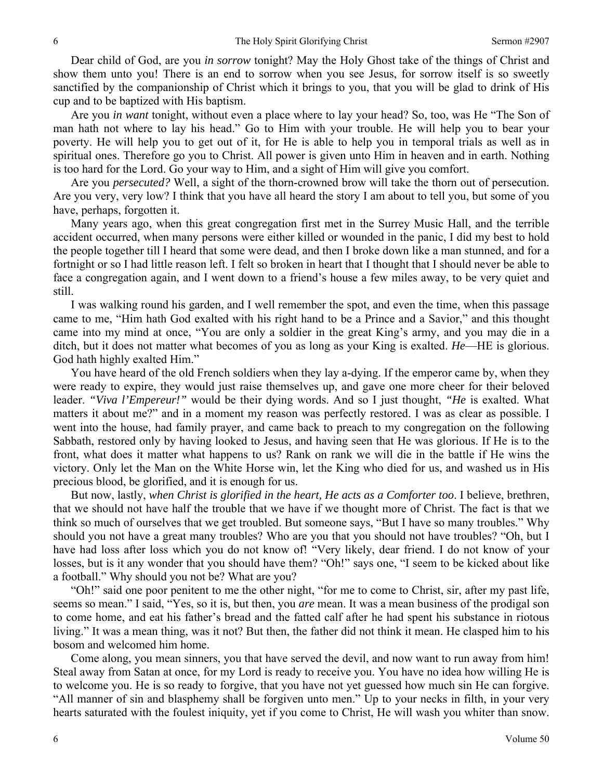Dear child of God, are you *in sorrow* tonight? May the Holy Ghost take of the things of Christ and show them unto you! There is an end to sorrow when you see Jesus, for sorrow itself is so sweetly sanctified by the companionship of Christ which it brings to you, that you will be glad to drink of His cup and to be baptized with His baptism.

Are you *in want* tonight, without even a place where to lay your head? So, too, was He "The Son of man hath not where to lay his head." Go to Him with your trouble. He will help you to bear your poverty. He will help you to get out of it, for He is able to help you in temporal trials as well as in spiritual ones. Therefore go you to Christ. All power is given unto Him in heaven and in earth. Nothing is too hard for the Lord. Go your way to Him, and a sight of Him will give you comfort.

Are you *persecuted?* Well, a sight of the thorn-crowned brow will take the thorn out of persecution. Are you very, very low? I think that you have all heard the story I am about to tell you, but some of you have, perhaps, forgotten it.

Many years ago, when this great congregation first met in the Surrey Music Hall, and the terrible accident occurred, when many persons were either killed or wounded in the panic, I did my best to hold the people together till I heard that some were dead, and then I broke down like a man stunned, and for a fortnight or so I had little reason left. I felt so broken in heart that I thought that I should never be able to face a congregation again, and I went down to a friend's house a few miles away, to be very quiet and still.

I was walking round his garden, and I well remember the spot, and even the time, when this passage came to me, "Him hath God exalted with his right hand to be a Prince and a Savior," and this thought came into my mind at once, "You are only a soldier in the great King's army, and you may die in a ditch, but it does not matter what becomes of you as long as your King is exalted. *He*—HE is glorious. God hath highly exalted Him."

You have heard of the old French soldiers when they lay a-dying. If the emperor came by, when they were ready to expire, they would just raise themselves up, and gave one more cheer for their beloved leader. *"Viva l'Empereur!"* would be their dying words. And so I just thought, *"He* is exalted. What matters it about me?" and in a moment my reason was perfectly restored. I was as clear as possible. I went into the house, had family prayer, and came back to preach to my congregation on the following Sabbath, restored only by having looked to Jesus, and having seen that He was glorious. If He is to the front, what does it matter what happens to us? Rank on rank we will die in the battle if He wins the victory. Only let the Man on the White Horse win, let the King who died for us, and washed us in His precious blood, be glorified, and it is enough for us.

But now, lastly, *when Christ is glorified in the heart, He acts as a Comforter too*. I believe, brethren, that we should not have half the trouble that we have if we thought more of Christ. The fact is that we think so much of ourselves that we get troubled. But someone says, "But I have so many troubles." Why should you not have a great many troubles? Who are you that you should not have troubles? "Oh, but I have had loss after loss which you do not know of! "Very likely, dear friend. I do not know of your losses, but is it any wonder that you should have them? "Oh!" says one, "I seem to be kicked about like a football." Why should you not be? What are you?

"Oh!" said one poor penitent to me the other night, "for me to come to Christ, sir, after my past life, seems so mean." I said, "Yes, so it is, but then, you *are* mean. It was a mean business of the prodigal son to come home, and eat his father's bread and the fatted calf after he had spent his substance in riotous living." It was a mean thing, was it not? But then, the father did not think it mean. He clasped him to his bosom and welcomed him home.

Come along, you mean sinners, you that have served the devil, and now want to run away from him! Steal away from Satan at once, for my Lord is ready to receive you. You have no idea how willing He is to welcome you. He is so ready to forgive, that you have not yet guessed how much sin He can forgive. "All manner of sin and blasphemy shall be forgiven unto men." Up to your necks in filth, in your very hearts saturated with the foulest iniquity, yet if you come to Christ, He will wash you whiter than snow.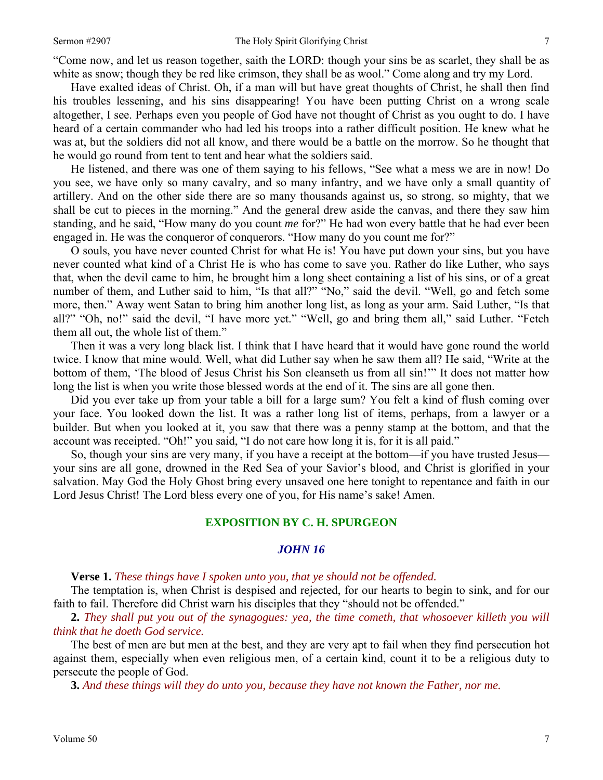"Come now, and let us reason together, saith the LORD: though your sins be as scarlet, they shall be as white as snow; though they be red like crimson, they shall be as wool." Come along and try my Lord.

Have exalted ideas of Christ. Oh, if a man will but have great thoughts of Christ, he shall then find his troubles lessening, and his sins disappearing! You have been putting Christ on a wrong scale altogether, I see. Perhaps even you people of God have not thought of Christ as you ought to do. I have heard of a certain commander who had led his troops into a rather difficult position. He knew what he was at, but the soldiers did not all know, and there would be a battle on the morrow. So he thought that he would go round from tent to tent and hear what the soldiers said.

He listened, and there was one of them saying to his fellows, "See what a mess we are in now! Do you see, we have only so many cavalry, and so many infantry, and we have only a small quantity of artillery. And on the other side there are so many thousands against us, so strong, so mighty, that we shall be cut to pieces in the morning." And the general drew aside the canvas, and there they saw him standing, and he said, "How many do you count *me* for?" He had won every battle that he had ever been engaged in. He was the conqueror of conquerors. "How many do you count me for?"

O souls, you have never counted Christ for what He is! You have put down your sins, but you have never counted what kind of a Christ He is who has come to save you. Rather do like Luther, who says that, when the devil came to him, he brought him a long sheet containing a list of his sins, or of a great number of them, and Luther said to him, "Is that all?" "No," said the devil. "Well, go and fetch some more, then." Away went Satan to bring him another long list, as long as your arm. Said Luther, "Is that all?" "Oh, no!" said the devil, "I have more yet." "Well, go and bring them all," said Luther. "Fetch them all out, the whole list of them."

Then it was a very long black list. I think that I have heard that it would have gone round the world twice. I know that mine would. Well, what did Luther say when he saw them all? He said, "Write at the bottom of them, 'The blood of Jesus Christ his Son cleanseth us from all sin!'" It does not matter how long the list is when you write those blessed words at the end of it. The sins are all gone then.

Did you ever take up from your table a bill for a large sum? You felt a kind of flush coming over your face. You looked down the list. It was a rather long list of items, perhaps, from a lawyer or a builder. But when you looked at it, you saw that there was a penny stamp at the bottom, and that the account was receipted. "Oh!" you said, "I do not care how long it is, for it is all paid."

So, though your sins are very many, if you have a receipt at the bottom—if you have trusted Jesus your sins are all gone, drowned in the Red Sea of your Savior's blood, and Christ is glorified in your salvation. May God the Holy Ghost bring every unsaved one here tonight to repentance and faith in our Lord Jesus Christ! The Lord bless every one of you, for His name's sake! Amen.

## **EXPOSITION BY C. H. SPURGEON**

### *JOHN 16*

**Verse 1.** *These things have I spoken unto you, that ye should not be offended.* 

The temptation is, when Christ is despised and rejected, for our hearts to begin to sink, and for our faith to fail. Therefore did Christ warn his disciples that they "should not be offended."

**2.** *They shall put you out of the synagogues: yea, the time cometh, that whosoever killeth you will think that he doeth God service.* 

The best of men are but men at the best, and they are very apt to fail when they find persecution hot against them, especially when even religious men, of a certain kind, count it to be a religious duty to persecute the people of God.

**3.** *And these things will they do unto you, because they have not known the Father, nor me.*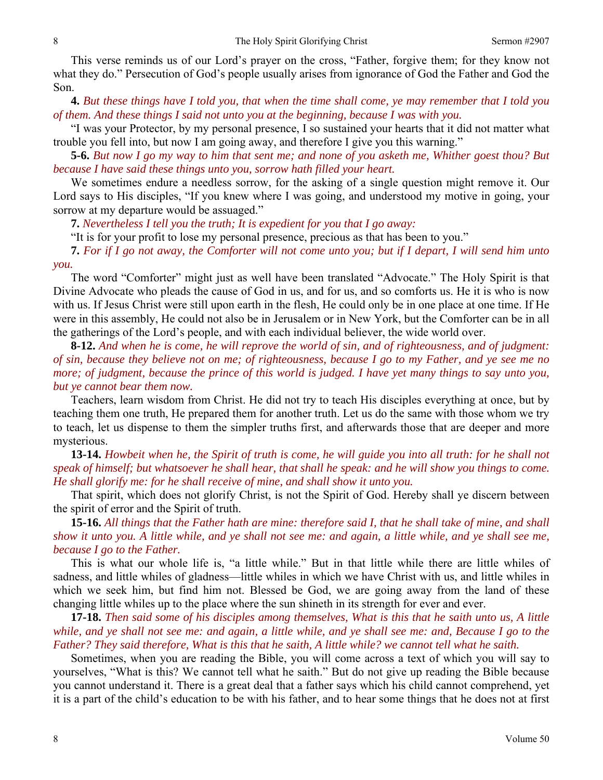This verse reminds us of our Lord's prayer on the cross, "Father, forgive them; for they know not what they do." Persecution of God's people usually arises from ignorance of God the Father and God the Son.

**4.** *But these things have I told you, that when the time shall come, ye may remember that I told you of them. And these things I said not unto you at the beginning, because I was with you.* 

"I was your Protector, by my personal presence, I so sustained your hearts that it did not matter what trouble you fell into, but now I am going away, and therefore I give you this warning."

**5-6.** *But now I go my way to him that sent me; and none of you asketh me, Whither goest thou? But because I have said these things unto you, sorrow hath filled your heart.* 

We sometimes endure a needless sorrow, for the asking of a single question might remove it. Our Lord says to His disciples, "If you knew where I was going, and understood my motive in going, your sorrow at my departure would be assuaged."

**7.** *Nevertheless I tell you the truth; It is expedient for you that I go away:* 

"It is for your profit to lose my personal presence, precious as that has been to you."

**7.** *For if I go not away, the Comforter will not come unto you; but if I depart, I will send him unto you.* 

The word "Comforter" might just as well have been translated "Advocate." The Holy Spirit is that Divine Advocate who pleads the cause of God in us, and for us, and so comforts us. He it is who is now with us. If Jesus Christ were still upon earth in the flesh, He could only be in one place at one time. If He were in this assembly, He could not also be in Jerusalem or in New York, but the Comforter can be in all the gatherings of the Lord's people, and with each individual believer, the wide world over.

**8-12.** *And when he is come, he will reprove the world of sin, and of righteousness, and of judgment: of sin, because they believe not on me; of righteousness, because I go to my Father, and ye see me no more; of judgment, because the prince of this world is judged. I have yet many things to say unto you, but ye cannot bear them now.* 

Teachers, learn wisdom from Christ. He did not try to teach His disciples everything at once, but by teaching them one truth, He prepared them for another truth. Let us do the same with those whom we try to teach, let us dispense to them the simpler truths first, and afterwards those that are deeper and more mysterious.

**13-14.** *Howbeit when he, the Spirit of truth is come, he will guide you into all truth: for he shall not speak of himself; but whatsoever he shall hear, that shall he speak: and he will show you things to come. He shall glorify me: for he shall receive of mine, and shall show it unto you.* 

That spirit, which does not glorify Christ, is not the Spirit of God. Hereby shall ye discern between the spirit of error and the Spirit of truth.

**15-16.** *All things that the Father hath are mine: therefore said I, that he shall take of mine, and shall show it unto you. A little while, and ye shall not see me: and again, a little while, and ye shall see me, because I go to the Father.* 

This is what our whole life is, "a little while." But in that little while there are little whiles of sadness, and little whiles of gladness—little whiles in which we have Christ with us, and little whiles in which we seek him, but find him not. Blessed be God, we are going away from the land of these changing little whiles up to the place where the sun shineth in its strength for ever and ever.

**17-18.** *Then said some of his disciples among themselves, What is this that he saith unto us, A little while, and ye shall not see me: and again, a little while, and ye shall see me: and, Because I go to the Father? They said therefore, What is this that he saith, A little while? we cannot tell what he saith.* 

Sometimes, when you are reading the Bible, you will come across a text of which you will say to yourselves, "What is this? We cannot tell what he saith." But do not give up reading the Bible because you cannot understand it. There is a great deal that a father says which his child cannot comprehend, yet it is a part of the child's education to be with his father, and to hear some things that he does not at first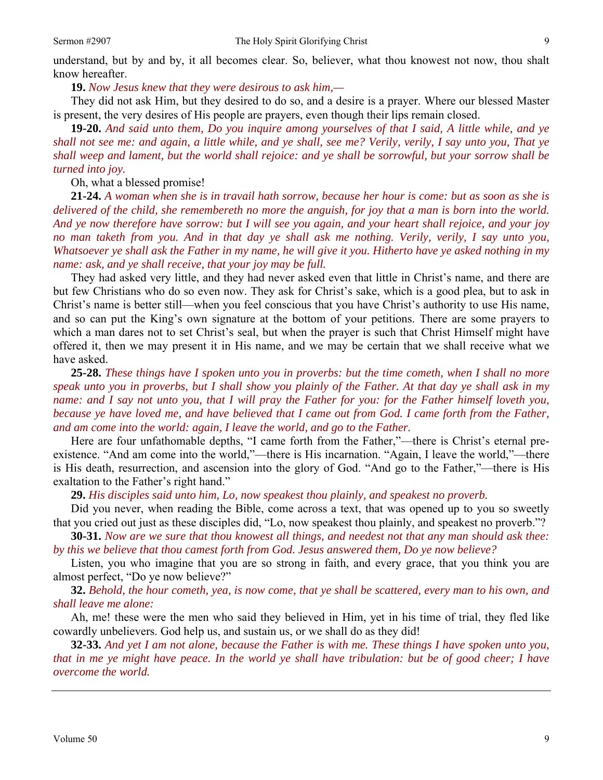understand, but by and by, it all becomes clear. So, believer, what thou knowest not now, thou shalt know hereafter.

**19.** *Now Jesus knew that they were desirous to ask him,—*

They did not ask Him, but they desired to do so, and a desire is a prayer. Where our blessed Master is present, the very desires of His people are prayers, even though their lips remain closed.

**19-20.** *And said unto them, Do you inquire among yourselves of that I said, A little while, and ye shall not see me: and again, a little while, and ye shall, see me? Verily, verily, I say unto you, That ye shall weep and lament, but the world shall rejoice: and ye shall be sorrowful, but your sorrow shall be turned into joy.* 

#### Oh, what a blessed promise!

**21-24.** *A woman when she is in travail hath sorrow, because her hour is come: but as soon as she is delivered of the child, she remembereth no more the anguish, for joy that a man is born into the world. And ye now therefore have sorrow: but I will see you again, and your heart shall rejoice, and your joy no man taketh from you. And in that day ye shall ask me nothing. Verily, verily, I say unto you, Whatsoever ye shall ask the Father in my name, he will give it you. Hitherto have ye asked nothing in my name: ask, and ye shall receive, that your joy may be full.* 

They had asked very little, and they had never asked even that little in Christ's name, and there are but few Christians who do so even now. They ask for Christ's sake, which is a good plea, but to ask in Christ's name is better still—when you feel conscious that you have Christ's authority to use His name, and so can put the King's own signature at the bottom of your petitions. There are some prayers to which a man dares not to set Christ's seal, but when the prayer is such that Christ Himself might have offered it, then we may present it in His name, and we may be certain that we shall receive what we have asked.

**25-28.** *These things have I spoken unto you in proverbs: but the time cometh, when I shall no more speak unto you in proverbs, but I shall show you plainly of the Father. At that day ye shall ask in my name: and I say not unto you, that I will pray the Father for you: for the Father himself loveth you, because ye have loved me, and have believed that I came out from God. I came forth from the Father, and am come into the world: again, I leave the world, and go to the Father.* 

Here are four unfathomable depths, "I came forth from the Father,"—there is Christ's eternal preexistence. "And am come into the world,"—there is His incarnation. "Again, I leave the world,"—there is His death, resurrection, and ascension into the glory of God. "And go to the Father,"—there is His exaltation to the Father's right hand."

**29.** *His disciples said unto him, Lo, now speakest thou plainly, and speakest no proverb.*

Did you never, when reading the Bible, come across a text, that was opened up to you so sweetly that you cried out just as these disciples did, "Lo, now speakest thou plainly, and speakest no proverb."?

**30-31.** *Now are we sure that thou knowest all things, and needest not that any man should ask thee: by this we believe that thou camest forth from God. Jesus answered them, Do ye now believe?* 

Listen, you who imagine that you are so strong in faith, and every grace, that you think you are almost perfect, "Do ye now believe?"

**32.** *Behold, the hour cometh, yea, is now come, that ye shall be scattered, every man to his own, and shall leave me alone:* 

Ah, me! these were the men who said they believed in Him, yet in his time of trial, they fled like cowardly unbelievers. God help us, and sustain us, or we shall do as they did!

**32-33.** *And yet I am not alone, because the Father is with me. These things I have spoken unto you, that in me ye might have peace. In the world ye shall have tribulation: but be of good cheer; I have overcome the world.*